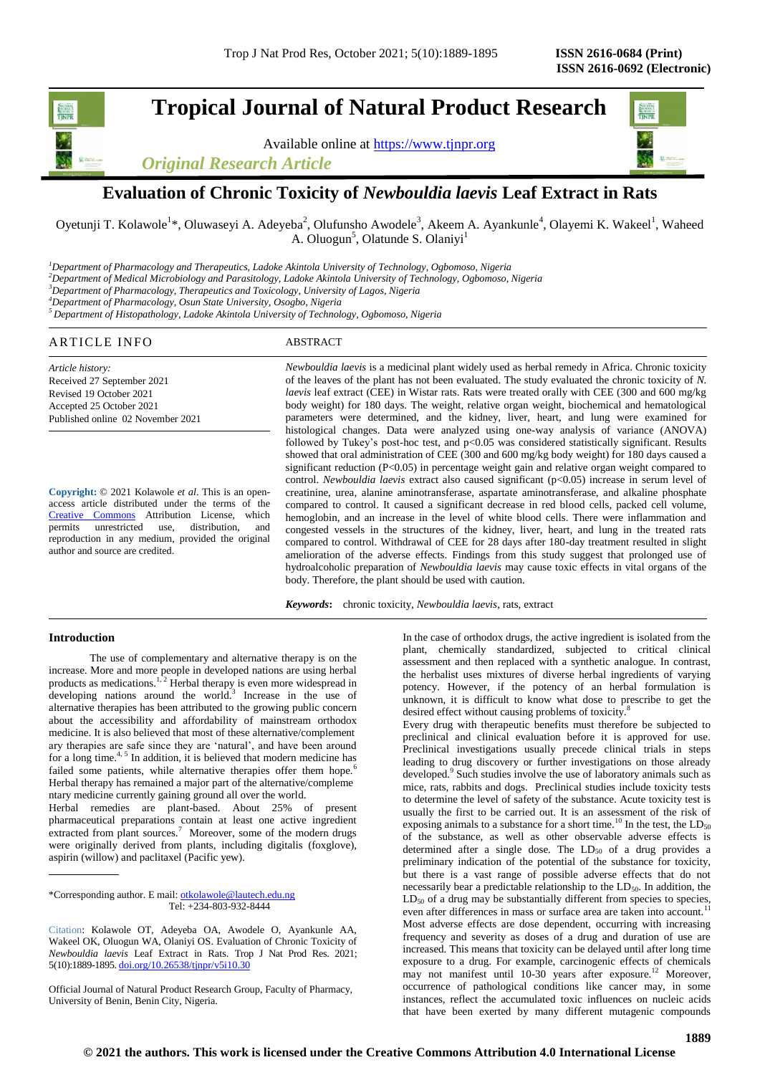# **Tropical Journal of Natural Product Research**

Available online at [https://www.tjnpr.org](https://www.tjnpr.org/)

*Original Research Article*



## **Evaluation of Chronic Toxicity of** *Newbouldia laevis* **Leaf Extract in Rats**

Oyetunji T. Kolawole<sup>1</sup>\*, Oluwaseyi A. Adeyeba<sup>2</sup>, Olufunsho Awodele<sup>3</sup>, Akeem A. Ayankunle<sup>4</sup>, Olayemi K. Wakeel<sup>1</sup>, Waheed A. Oluogun<sup>5</sup>, Olatunde S. Olaniyi<sup>1</sup>

*<sup>1</sup>Department of Pharmacology and Therapeutics, Ladoke Akintola University of Technology, Ogbomoso, Nigeria*

*<sup>2</sup>Department of Medical Microbiology and Parasitology, Ladoke Akintola University of Technology, Ogbomoso, Nigeria*

*<sup>3</sup>Department of Pharmacology, Therapeutics and Toxicology, University of Lagos, Nigeria*

*<sup>4</sup>Department of Pharmacology, Osun State University, Osogbo, Nigeria*

*<sup>5</sup> Department of Histopathology, Ladoke Akintola University of Technology, Ogbomoso, Nigeria*

### ARTICLE INFO ABSTRACT

*Article history:* Received 27 September 2021 Revised 19 October 2021 Accepted 25 October 2021 Published online 02 November 2021

**Copyright:** © 2021 Kolawole *et al*. This is an openaccess article distributed under the terms of the [Creative Commons](https://creativecommons.org/licenses/by/4.0/) Attribution License, which permits unrestricted use, distribution, and reproduction in any medium, provided the original author and source are credited.

*Newbouldia laevis* is a medicinal plant widely used as herbal remedy in Africa. Chronic toxicity of the leaves of the plant has not been evaluated. The study evaluated the chronic toxicity of *N. laevis* leaf extract (CEE) in Wistar rats. Rats were treated orally with CEE (300 and 600 mg/kg body weight) for 180 days. The weight, relative organ weight, biochemical and hematological parameters were determined, and the kidney, liver, heart, and lung were examined for histological changes. Data were analyzed using one-way analysis of variance (ANOVA) followed by Tukey's post-hoc test, and p<0.05 was considered statistically significant. Results showed that oral administration of CEE (300 and 600 mg/kg body weight) for 180 days caused a significant reduction (P<0.05) in percentage weight gain and relative organ weight compared to control. *Newbouldia laevis* extract also caused significant (p<0.05) increase in serum level of creatinine, urea, alanine aminotransferase, aspartate aminotransferase, and alkaline phosphate compared to control. It caused a significant decrease in red blood cells, packed cell volume, hemoglobin, and an increase in the level of white blood cells. There were inflammation and congested vessels in the structures of the kidney, liver, heart, and lung in the treated rats compared to control. Withdrawal of CEE for 28 days after 180-day treatment resulted in slight amelioration of the adverse effects. Findings from this study suggest that prolonged use of hydroalcoholic preparation of *Newbouldia laevis* may cause toxic effects in vital organs of the body. Therefore, the plant should be used with caution.

*Keywords***:** chronic toxicity, *Newbouldia laevis*, rats, extract

### **Introduction**

 The use of complementary and alternative therapy is on the increase. More and more people in developed nations are using herbal products as medications. $1, 2$  Herbal therapy is even more widespread in developing nations around the world.<sup>3</sup> Increase in the use of alternative therapies has been attributed to the growing public concern about the accessibility and affordability of mainstream orthodox medicine. It is also believed that most of these alternative/complement ary therapies are safe since they are 'natural', and have been around for a long time.<sup>4, 5</sup> In addition, it is believed that modern medicine has failed some patients, while alternative therapies offer them hope.<sup>6</sup> Herbal therapy has remained a major part of the alternative/compleme ntary medicine currently gaining ground all over the world.

Herbal remedies are plant-based. About 25% of present pharmaceutical preparations contain at least one active ingredient extracted from plant sources.<sup>7</sup> Moreover, some of the modern drugs were originally derived from plants, including digitalis (foxglove), aspirin (willow) and paclitaxel (Pacific yew).

\*Corresponding author. E mail[: otkolawole@lautech.edu.ng](mailto:otkolawole@lautech.edu.ng) Tel: +234-803-932-8444

Citation: Kolawole OT, Adeyeba OA, Awodele O, Ayankunle AA, Wakeel OK, Oluogun WA, Olaniyi OS. Evaluation of Chronic Toxicity of *Newbouldia laevis* Leaf Extract in Rats. Trop J Nat Prod Res. 2021; 5(10):1889-1895. [doi.org/10.26538/tjnpr/v5i10.3](http://www.doi.org/10.26538/tjnpr/v1i4.5)0

Official Journal of Natural Product Research Group, Faculty of Pharmacy, University of Benin, Benin City, Nigeria.

In the case of orthodox drugs, the active ingredient is isolated from the plant, chemically standardized, subjected to critical clinical assessment and then replaced with a synthetic analogue. In contrast, the herbalist uses mixtures of diverse herbal ingredients of varying potency. However, if the potency of an herbal formulation is unknown, it is difficult to know what dose to prescribe to get the desired effect without causing problems of toxicity.<sup>8</sup>

Every drug with therapeutic benefits must therefore be subjected to preclinical and clinical evaluation before it is approved for use. Preclinical investigations usually precede clinical trials in steps leading to drug discovery or further investigations on those already developed.<sup>9</sup> Such studies involve the use of laboratory animals such as mice, rats, rabbits and dogs. Preclinical studies include toxicity tests to determine the level of safety of the substance. Acute toxicity test is usually the first to be carried out. It is an assessment of the risk of exposing animals to a substance for a short time.<sup>10</sup> In the test, the  $LD_{50}$ of the substance, as well as other observable adverse effects is determined after a single dose. The  $LD_{50}$  of a drug provides a preliminary indication of the potential of the substance for toxicity, but there is a vast range of possible adverse effects that do not necessarily bear a predictable relationship to the LD<sub>50</sub>. In addition, the  $LD_{50}$  of a drug may be substantially different from species to species, even after differences in mass or surface area are taken into account.<sup>11</sup> Most adverse effects are dose dependent, occurring with increasing frequency and severity as doses of a drug and duration of use are increased. This means that toxicity can be delayed until after long time exposure to a drug. For example, carcinogenic effects of chemicals may not manifest until 10-30 years after exposure.<sup>12</sup> Moreover, occurrence of pathological conditions like cancer may, in some instances, reflect the accumulated toxic influences on nucleic acids that have been exerted by many different mutagenic compounds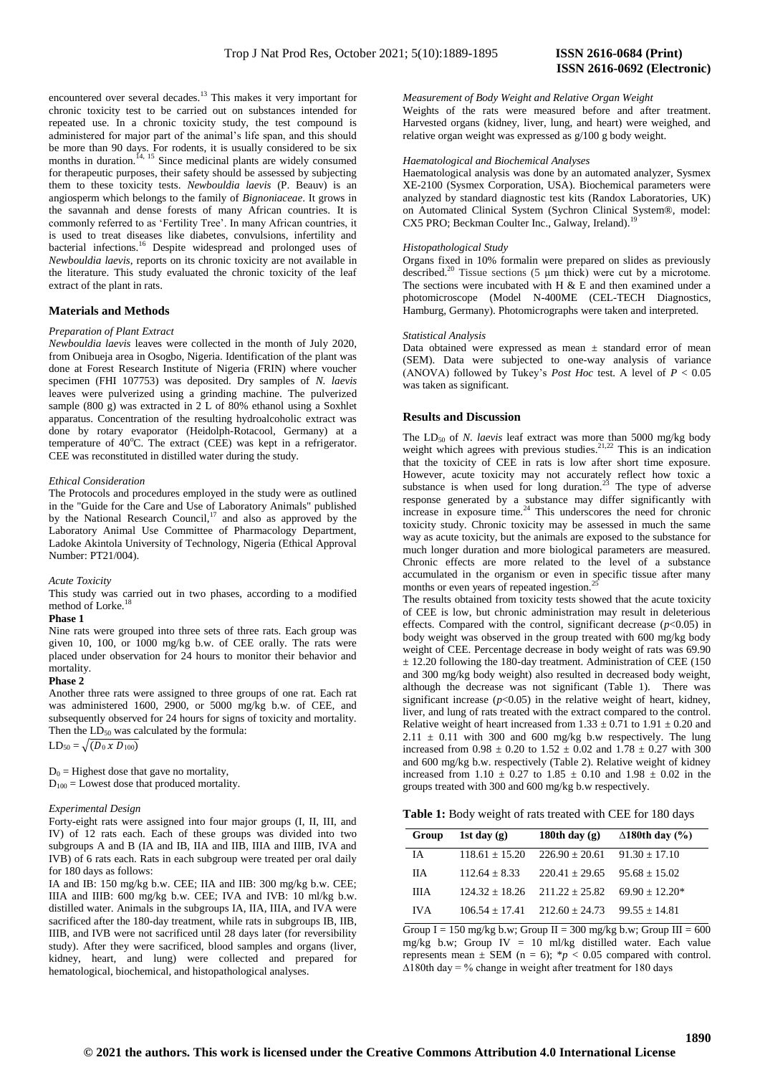encountered over several decades.<sup>13</sup> This makes it very important for chronic toxicity test to be carried out on substances intended for repeated use. In a chronic toxicity study, the test compound is administered for major part of the animal's life span, and this should be more than 90 days. For rodents, it is usually considered to be six months in duration.<sup>14, 15</sup> Since medicinal plants are widely consumed for therapeutic purposes, their safety should be assessed by subjecting them to these toxicity tests. *Newbouldia laevis* (P. Beauv) is an angiosperm which belongs to the family of *Bignoniaceae*. It grows in the savannah and dense forests of many African countries. It is commonly referred to as 'Fertility Tree'. In many African countries, it is used to treat diseases like diabetes, convulsions, infertility and bacterial infections.<sup>16</sup> Despite widespread and prolonged uses of *Newbouldia laevis*, reports on its chronic toxicity are not available in the literature. This study evaluated the chronic toxicity of the leaf extract of the plant in rats.

### **Materials and Methods**

### *Preparation of Plant Extract*

*Newbouldia laevis* leaves were collected in the month of July 2020, from Onibueja area in Osogbo, Nigeria. Identification of the plant was done at Forest Research Institute of Nigeria (FRIN) where voucher specimen (FHI 107753) was deposited. Dry samples of *N. laevis* leaves were pulverized using a grinding machine. The pulverized sample (800 g) was extracted in 2 L of 80% ethanol using a Soxhlet apparatus. Concentration of the resulting hydroalcoholic extract was done by rotary evaporator (Heidolph-Rotacool, Germany) at a temperature of  $40^{\circ}$ C. The extract (CEE) was kept in a refrigerator. CEE was reconstituted in distilled water during the study.

### *Ethical Consideration*

The Protocols and procedures employed in the study were as outlined in the "Guide for the Care and Use of Laboratory Animals" published by the National Research Council, $17$  and also as approved by the Laboratory Animal Use Committee of Pharmacology Department, Ladoke Akintola University of Technology, Nigeria (Ethical Approval Number: PT21/004).

*Acute Toxicity* 

This study was carried out in two phases, according to a modified method of Lorke.<sup>1</sup>

### **Phase 1**

Nine rats were grouped into three sets of three rats. Each group was given 10, 100, or 1000 mg/kg b.w. of CEE orally. The rats were placed under observation for 24 hours to monitor their behavior and mortality.

### **Phase 2**

Another three rats were assigned to three groups of one rat. Each rat was administered 1600, 2900, or 5000 mg/kg b.w. of CEE, and subsequently observed for 24 hours for signs of toxicity and mortality. Then the  $LD_{50}$  was calculated by the formula:

 $LD_{50} = \sqrt{(D_0 \times D_{100})}$ 

 $D_0$  = Highest dose that gave no mortality,  $D_{100}$  = Lowest dose that produced mortality.

### *Experimental Design*

Forty-eight rats were assigned into four major groups (I, II, III, and IV) of 12 rats each. Each of these groups was divided into two subgroups A and B (IA and IB, IIA and IIB, IIIA and IIIB, IVA and IVB) of 6 rats each. Rats in each subgroup were treated per oral daily for 180 days as follows:

IA and IB: 150 mg/kg b.w. CEE; IIA and IIB: 300 mg/kg b.w. CEE; IIIA and IIIB: 600 mg/kg b.w. CEE; IVA and IVB: 10 ml/kg b.w. distilled water. Animals in the subgroups IA, IIA, IIIA, and IVA were sacrificed after the 180-day treatment, while rats in subgroups IB, IIB, IIIB, and IVB were not sacrificed until 28 days later (for reversibility study). After they were sacrificed, blood samples and organs (liver, kidney, heart, and lung) were collected and prepared for hematological, biochemical, and histopathological analyses.

### *Measurement of Body Weight and Relative Organ Weight*

Weights of the rats were measured before and after treatment. Harvested organs (kidney, liver, lung, and heart) were weighed, and relative organ weight was expressed as g/100 g body weight.

### *Haematological and Biochemical Analyses*

Haematological analysis was done by an automated analyzer, Sysmex XE-2100 (Sysmex Corporation, USA). Biochemical parameters were analyzed by standard diagnostic test kits (Randox Laboratories, UK) on Automated Clinical System (Sychron Clinical System®, model: CX5 PRO; Beckman Coulter Inc., Galway, Ireland).

### *Histopathological Study*

Organs fixed in 10% formalin were prepared on slides as previously described.<sup>20</sup> Tissue sections (5 μm thick) were cut by a microtome. The sections were incubated with H  $\&$  E and then examined under a photomicroscope (Model N-400ME (CEL-TECH Diagnostics, Hamburg, Germany). Photomicrographs were taken and interpreted.

### *Statistical Analysis*

Data obtained were expressed as mean  $\pm$  standard error of mean (SEM). Data were subjected to one-way analysis of variance (ANOVA) followed by Tukey's *Post Hoc* test. A level of  $P < 0.05$ was taken as significant.

### **Results and Discussion**

The LD<sub>50</sub> of *N. laevis* leaf extract was more than 5000 mg/kg body weight which agrees with previous studies. $2^{1,22}$  This is an indication that the toxicity of CEE in rats is low after short time exposure. However, acute toxicity may not accurately reflect how toxic a substance is when used for long duration.<sup>23</sup> The type of adverse response generated by a substance may differ significantly with increase in exposure time.<sup>24</sup> This underscores the need for chronic toxicity study. Chronic toxicity may be assessed in much the same way as acute toxicity, but the animals are exposed to the substance for much longer duration and more biological parameters are measured. Chronic effects are more related to the level of a substance accumulated in the organism or even in specific tissue after many months or even years of repeated ingestion.<sup>2</sup>

The results obtained from toxicity tests showed that the acute toxicity of CEE is low, but chronic administration may result in deleterious effects. Compared with the control, significant decrease  $(p<0.05)$  in body weight was observed in the group treated with 600 mg/kg body weight of CEE. Percentage decrease in body weight of rats was 69.90  $\pm$  12.20 following the 180-day treatment. Administration of CEE (150 and 300 mg/kg body weight) also resulted in decreased body weight, although the decrease was not significant (Table 1). There was significant increase  $(p<0.05)$  in the relative weight of heart, kidney, liver, and lung of rats treated with the extract compared to the control. Relative weight of heart increased from  $1.33 \pm 0.71$  to  $1.91 \pm 0.20$  and  $2.11 \pm 0.11$  with 300 and 600 mg/kg b.w respectively. The lung increased from  $0.98 \pm 0.20$  to  $1.52 \pm 0.02$  and  $1.78 \pm 0.27$  with 300 and 600 mg/kg b.w. respectively (Table 2). Relative weight of kidney increased from  $1.10 \pm 0.27$  to  $1.85 \pm 0.10$  and  $1.98 \pm 0.02$  in the groups treated with 300 and 600 mg/kg b.w respectively.

| Group      | 1st day $(g)$    | 180th day $(g)$                   | $\triangle$ 180th day (%) |
|------------|------------------|-----------------------------------|---------------------------|
| <b>IA</b>  | $118.61 + 15.20$ | $226.90 + 20.61$                  | $91.30 + 17.10$           |
| <b>IIA</b> | $112.64 + 8.33$  | $220.41 + 29.65$                  | $95.68 + 15.02$           |
| ШA         | $124.32 + 18.26$ | $211.22 + 25.82$                  | $69.90 + 12.20*$          |
| <b>IVA</b> |                  | $106.54 + 17.41$ $212.60 + 24.73$ | $99.55 + 14.81$           |

Group  $I = 150$  mg/kg b.w; Group  $II = 300$  mg/kg b.w; Group  $III = 600$ mg/kg b.w; Group IV = 10 ml/kg distilled water. Each value represents mean  $\pm$  SEM (n = 6); \*p < 0.05 compared with control.  $\Delta$ 180th day = % change in weight after treatment for 180 days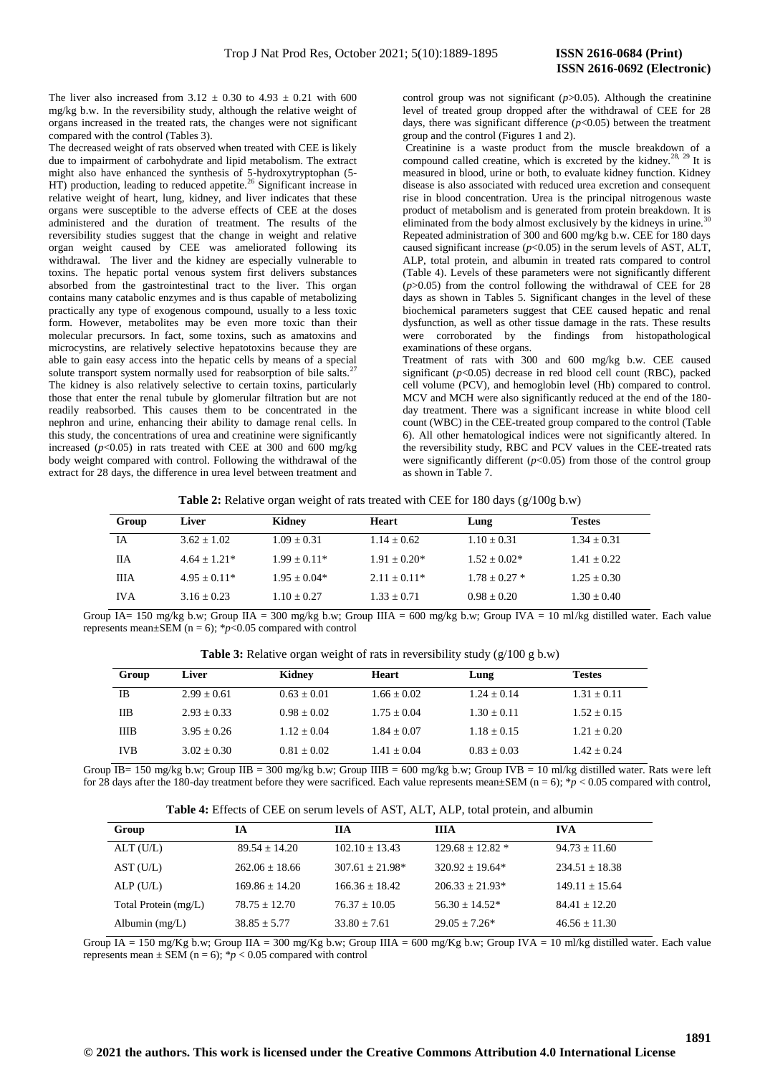The liver also increased from  $3.12 \pm 0.30$  to  $4.93 \pm 0.21$  with 600 mg/kg b.w. In the reversibility study, although the relative weight of organs increased in the treated rats, the changes were not significant compared with the control (Tables 3).

The decreased weight of rats observed when treated with CEE is likely due to impairment of carbohydrate and lipid metabolism. The extract might also have enhanced the synthesis of 5-hydroxytryptophan (5- HT) production, leading to reduced appetite.<sup>26</sup> Significant increase in relative weight of heart, lung, kidney, and liver indicates that these organs were susceptible to the adverse effects of CEE at the doses administered and the duration of treatment. The results of the reversibility studies suggest that the change in weight and relative organ weight caused by CEE was ameliorated following its withdrawal. The liver and the kidney are especially vulnerable to toxins. The hepatic portal venous system first delivers substances absorbed from the gastrointestinal tract to the liver. This organ contains many catabolic enzymes and is thus capable of metabolizing practically any type of exogenous compound, usually to a less toxic form. However, metabolites may be even more toxic than their molecular precursors. In fact, some toxins, such as amatoxins and microcystins, are relatively selective hepatotoxins because they are able to gain easy access into the hepatic cells by means of a special solute transport system normally used for reabsorption of bile salts.<sup>27</sup> The kidney is also relatively selective to certain toxins, particularly those that enter the renal tubule by glomerular filtration but are not readily reabsorbed. This causes them to be concentrated in the nephron and urine, enhancing their ability to damage renal cells. In this study, the concentrations of urea and creatinine were significantly increased  $(p<0.05)$  in rats treated with CEE at 300 and 600 mg/kg body weight compared with control. Following the withdrawal of the extract for 28 days, the difference in urea level between treatment and

control group was not significant ( $p$ >0.05). Although the creatinine level of treated group dropped after the withdrawal of CEE for 28 days, there was significant difference  $(p<0.05)$  between the treatment group and the control (Figures 1 and 2).

Creatinine is a waste product from the muscle breakdown of a compound called creatine, which is excreted by the kidney.<sup>28, 29</sup> It is measured in blood, urine or both, to evaluate kidney function. Kidney disease is also associated with reduced urea excretion and consequent rise in blood concentration. Urea is the principal nitrogenous waste product of metabolism and is generated from protein breakdown. It is eliminated from the body almost exclusively by the kidneys in urine.<sup>3</sup>  $\overline{a}$ Repeated administration of 300 and 600 mg/kg b.w. CEE for 180 days caused significant increase  $(p<0.05)$  in the serum levels of AST, ALT, ALP, total protein, and albumin in treated rats compared to control (Table 4). Levels of these parameters were not significantly different (*p*>0.05) from the control following the withdrawal of CEE for 28 days as shown in Tables 5. Significant changes in the level of these biochemical parameters suggest that CEE caused hepatic and renal dysfunction, as well as other tissue damage in the rats. These results were corroborated by the findings from histopathological examinations of these organs.

Treatment of rats with 300 and 600 mg/kg b.w. CEE caused significant  $(p<0.05)$  decrease in red blood cell count (RBC), packed cell volume (PCV), and hemoglobin level (Hb) compared to control. MCV and MCH were also significantly reduced at the end of the 180 day treatment. There was a significant increase in white blood cell count (WBC) in the CEE-treated group compared to the control (Table 6). All other hematological indices were not significantly altered. In the reversibility study, RBC and PCV values in the CEE-treated rats were significantly different  $(p<0.05)$  from those of the control group as shown in Table 7.

| Table 2: Relative organ weight of rats treated with CEE for 180 days $(g/100g\ b.w)$ |  |  |  |  |
|--------------------------------------------------------------------------------------|--|--|--|--|
|--------------------------------------------------------------------------------------|--|--|--|--|

| Group       | Liver          | Kidney         | Heart          | Lung            | <b>Testes</b> |
|-------------|----------------|----------------|----------------|-----------------|---------------|
| ĪА          | $3.62 + 1.02$  | $1.09 + 0.31$  | $1.14 + 0.62$  | $1.10 + 0.31$   | $1.34 + 0.31$ |
| ПA          | $4.64 + 1.21*$ | $1.99 + 0.11*$ | $1.91 + 0.20*$ | $1.52 + 0.02*$  | $1.41 + 0.22$ |
| <b>IIIA</b> | $4.95 + 0.11*$ | $1.95 + 0.04*$ | $2.11 + 0.11*$ | $1.78 + 0.27$ * | $1.25 + 0.30$ |
| <b>IVA</b>  | $3.16 + 0.23$  | $1.10 + 0.27$  | $1.33 + 0.71$  | $0.98 + 0.20$   | $1.30 + 0.40$ |

Group IA= 150 mg/kg b.w; Group IIA = 300 mg/kg b.w; Group IIIA = 600 mg/kg b.w; Group IVA = 10 ml/kg distilled water. Each value represents mean±SEM (n = 6); \**p*<0.05 compared with control

**Table 3:** Relative organ weight of rats in reversibility study (g/100 g b.w)

| Group      | Liver         | Kidney        | Heart         | Lung          | <b>Testes</b> |
|------------|---------------|---------------|---------------|---------------|---------------|
| ΙB         | $2.99 + 0.61$ | $0.63 + 0.01$ | $1.66 + 0.02$ | $1.24 + 0.14$ | $1.31 + 0.11$ |
| ПB         | $2.93 + 0.33$ | $0.98 + 0.02$ | $1.75 + 0.04$ | $1.30 + 0.11$ | $1.52 + 0.15$ |
| ШB         | $3.95 + 0.26$ | $1.12 + 0.04$ | $1.84 + 0.07$ | $1.18 + 0.15$ | $1.21 + 0.20$ |
| <b>IVB</b> | $3.02 + 0.30$ | $0.81 + 0.02$ | $1.41 + 0.04$ | $0.83 + 0.03$ | $1.42 + 0.24$ |

Group  $\overline{IB}$  150 mg/kg b.w; Group IIB = 300 mg/kg b.w; Group IIIB = 600 mg/kg b.w; Group IVB = 10 ml/kg distilled water. Rats were left for 28 days after the 180-day treatment before they were sacrificed. Each value represents mean $\pm$ SEM (n = 6); \* $p < 0.05$  compared with control,

| Group                | ĪА                | ПA                | <b>IIIA</b>        | <b>IVA</b>        |
|----------------------|-------------------|-------------------|--------------------|-------------------|
| ALT(U/L)             | $89.54 \pm 14.20$ | $102.10 + 13.43$  | $129.68 + 12.82$ * | $94.73 + 11.60$   |
| AST (U/L)            | $262.06 + 18.66$  | $307.61 + 21.98*$ | $320.92 + 19.64*$  | $234.51 + 18.38$  |
| ALP(U/L)             | $169.86 + 14.20$  | $166.36 + 18.42$  | $206.33 + 21.93*$  | $149.11 + 15.64$  |
| Total Protein (mg/L) | $78.75 + 12.70$   | $76.37 + 10.05$   | $56.30 + 14.52*$   | $84.41 + 12.20$   |
| Albumin $(mg/L)$     | $38.85 + 5.77$    | $33.80 \pm 7.61$  | $29.05 + 7.26*$    | $46.56 \pm 11.30$ |

Group  $IA = 150$  mg/Kg b.w; Group IIA = 300 mg/Kg b.w; Group IIIA = 600 mg/Kg b.w; Group IVA = 10 ml/kg distilled water. Each value represents mean  $\pm$  SEM (n = 6); \*p < 0.05 compared with control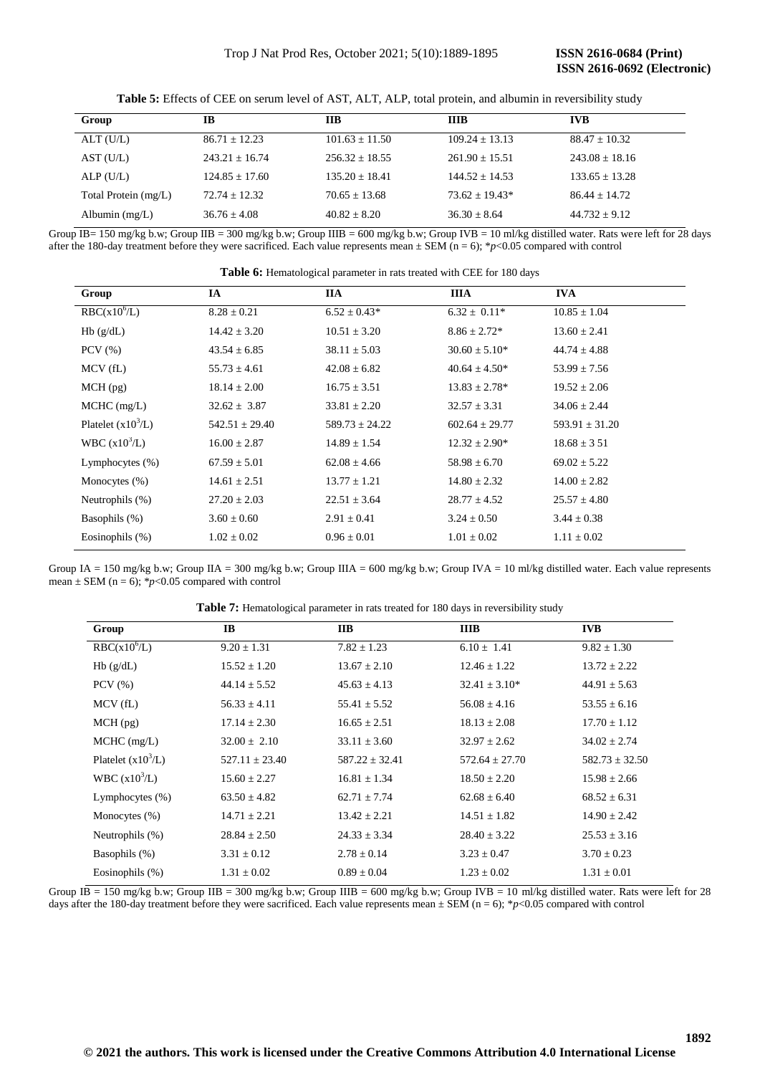| Group                | IB                 | <b>IIB</b>       | <b>IIIB</b>      | <b>IVB</b>         |
|----------------------|--------------------|------------------|------------------|--------------------|
| ALT(U/L)             | $86.71 + 12.23$    | $101.63 + 11.50$ | $109.24 + 13.13$ | $88.47 + 10.32$    |
| AST(U/L)             | $243.21 + 16.74$   | $256.32 + 18.55$ | $261.90 + 15.51$ | $243.08 \pm 18.16$ |
| ALP(U/L)             | $124.85 \pm 17.60$ | $135.20 + 18.41$ | $144.52 + 14.53$ | $133.65 + 13.28$   |
| Total Protein (mg/L) | $72.74 + 12.32$    | $70.65 + 13.68$  | $73.62 + 19.43*$ | $86.44 + 14.72$    |
| Albumin $(mg/L)$     | $36.76 + 4.08$     | $40.82 + 8.20$   | $36.30 \pm 8.64$ | $44.732 + 9.12$    |

**Table 5:** Effects of CEE on serum level of AST, ALT, ALP, total protein, and albumin in reversibility study

Group  $\overline{IB}$  = 150 mg/kg b.w; Group IIB = 300 mg/kg b.w; Group IIIB = 600 mg/kg b.w; Group IVB = 10 ml/kg distilled water. Rats were left for 28 days after the 180-day treatment before they were sacrificed. Each value represents mean  $\pm$  SEM (n = 6); \**p*<0.05 compared with control

| Group                     | IA                 | <b>IIA</b>         | <b>IIIA</b>        | <b>IVA</b>         |
|---------------------------|--------------------|--------------------|--------------------|--------------------|
| RBC(x10 <sup>6</sup> /L)  | $8.28 \pm 0.21$    | $6.52 \pm 0.43*$   | $6.32 \pm 0.11*$   | $10.85 \pm 1.04$   |
| Hb(g/dL)                  | $14.42 \pm 3.20$   | $10.51 \pm 3.20$   | $8.86 \pm 2.72*$   | $13.60 \pm 2.41$   |
| $PCV$ $(\% )$             | $43.54 \pm 6.85$   | $38.11 \pm 5.03$   | $30.60 \pm 5.10^*$ | $44.74 \pm 4.88$   |
| $MCV$ (fL)                | $55.73 \pm 4.61$   | $42.08 \pm 6.82$   | $40.64 \pm 4.50*$  | $53.99 \pm 7.56$   |
| $MCH$ (pg)                | $18.14 \pm 2.00$   | $16.75 \pm 3.51$   | $13.83 \pm 2.78^*$ | $19.52 \pm 2.06$   |
| $MCHC$ (mg/L)             | $32.62 \pm 3.87$   | $33.81 \pm 2.20$   | $32.57 \pm 3.31$   | $34.06 \pm 2.44$   |
| Platelet $(x10^3/L)$      | $542.51 \pm 29.40$ | $589.73 \pm 24.22$ | $602.64 \pm 29.77$ | $593.91 \pm 31.20$ |
| WBC (x10 <sup>3</sup> /L) | $16.00 \pm 2.87$   | $14.89 \pm 1.54$   | $12.32 \pm 2.90^*$ | $18.68 \pm 3.51$   |
| Lymphocytes $(\% )$       | $67.59 \pm 5.01$   | $62.08 \pm 4.66$   | $58.98 \pm 6.70$   | $69.02 \pm 5.22$   |
| Monocytes $(\% )$         | $14.61 \pm 2.51$   | $13.77 \pm 1.21$   | $14.80 \pm 2.32$   | $14.00 \pm 2.82$   |
| Neutrophils (%)           | $27.20 \pm 2.03$   | $22.51 \pm 3.64$   | $28.77 \pm 4.52$   | $25.57 \pm 4.80$   |
| Basophils (%)             | $3.60 \pm 0.60$    | $2.91 \pm 0.41$    | $3.24 \pm 0.50$    | $3.44 \pm 0.38$    |
| Eosinophils $(\%)$        | $1.02 \pm 0.02$    | $0.96 \pm 0.01$    | $1.01 \pm 0.02$    | $1.11 \pm 0.02$    |

**Table 6:** Hematological parameter in rats treated with CEE for 180 days

Group IA = 150 mg/kg b.w; Group IIA = 300 mg/kg b.w; Group IIIA = 600 mg/kg b.w; Group IVA = 10 ml/kg distilled water. Each value represents mean  $\pm$  SEM (n = 6); \*p<0.05 compared with control

**Table 7:** Hematological parameter in rats treated for 180 days in reversibility study

| Group                     | IB               | <b>IIB</b>       | <b>IIIB</b>        | <b>IVB</b>       |
|---------------------------|------------------|------------------|--------------------|------------------|
| RBC(x10 <sup>6</sup> /L)  | $9.20 \pm 1.31$  | $7.82 \pm 1.23$  | $6.10 \pm 1.41$    | $9.82 \pm 1.30$  |
| Hb(g/dL)                  | $15.52 \pm 1.20$ | $13.67 + 2.10$   | $12.46 \pm 1.22$   | $13.72 + 2.22$   |
| $PCV$ $(\% )$             | $44.14 \pm 5.52$ | $45.63 \pm 4.13$ | $32.41 \pm 3.10^*$ | $44.91 \pm 5.63$ |
| MCV(fL)                   | $56.33 \pm 4.11$ | $55.41 \pm 5.52$ | $56.08 \pm 4.16$   | $53.55 \pm 6.16$ |
| $MCH$ (pg)                | $17.14 \pm 2.30$ | $16.65 \pm 2.51$ | $18.13 \pm 2.08$   | $17.70 + 1.12$   |
| $MCHC$ (mg/L)             | $32.00 \pm 2.10$ | $33.11 \pm 3.60$ | $32.97 \pm 2.62$   | $34.02 \pm 2.74$ |
| Platelet $(x10^3/L)$      | $527.11 + 23.40$ | $587.22 + 32.41$ | $572.64 + 27.70$   | $582.73 + 32.50$ |
| WBC (x10 <sup>3</sup> /L) | $15.60 \pm 2.27$ | $16.81 \pm 1.34$ | $18.50 \pm 2.20$   | $15.98 \pm 2.66$ |
| Lymphocytes $(\% )$       | $63.50 \pm 4.82$ | $62.71 \pm 7.74$ | $62.68 \pm 6.40$   | $68.52 \pm 6.31$ |
| Monocytes $(\% )$         | $14.71 \pm 2.21$ | $13.42 \pm 2.21$ | $14.51 \pm 1.82$   | $14.90 \pm 2.42$ |
| Neutrophils $(\%)$        | $28.84 \pm 2.50$ | $24.33 \pm 3.34$ | $28.40 \pm 3.22$   | $25.53 \pm 3.16$ |
| Basophils (%)             | $3.31 \pm 0.12$  | $2.78 \pm 0.14$  | $3.23 \pm 0.47$    | $3.70 \pm 0.23$  |
| Eosinophils $(\%)$        | $1.31 \pm 0.02$  | $0.89 \pm 0.04$  | $1.23 \pm 0.02$    | $1.31 \pm 0.01$  |

Group  $IB = 150$  mg/kg b.w; Group  $IB = 300$  mg/kg b.w; Group  $IIIB = 600$  mg/kg b.w; Group IVB = 10 ml/kg distilled water. Rats were left for 28 days after the 180-day treatment before they were sacrificed. Each value represents mean  $\pm$  SEM (n = 6); \**p*<0.05 compared with control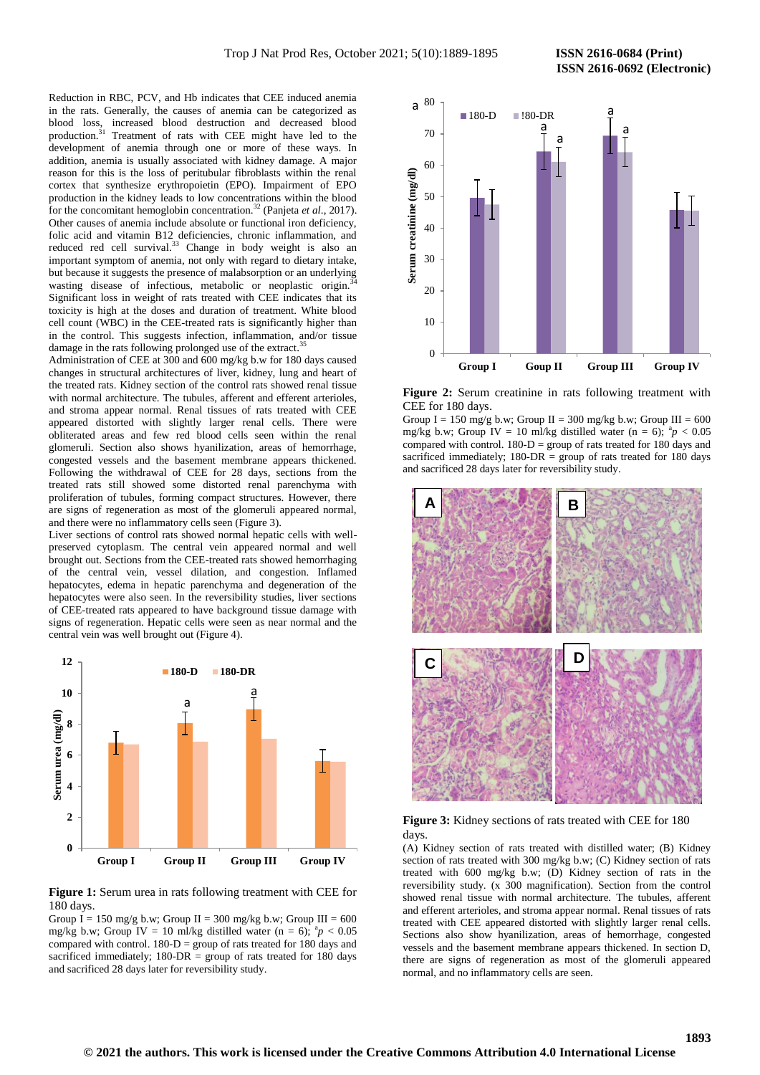Reduction in RBC, PCV, and Hb indicates that CEE induced anemia in the rats. Generally, the causes of anemia can be categorized as blood loss, increased blood destruction and decreased blood production.<sup>31</sup> Treatment of rats with CEE might have led to the development of anemia through one or more of these ways. In addition, anemia is usually associated with kidney damage. A major reason for this is the loss of peritubular fibroblasts within the renal cortex that synthesize erythropoietin (EPO). Impairment of EPO production in the kidney leads to low concentrations within the blood for the concomitant hemoglobin concentration.<sup>32</sup> (Panjeta *et al*., 2017). Other causes of anemia include absolute or functional iron deficiency, folic acid and vitamin B12 deficiencies, chronic inflammation, and reduced red cell survival.<sup>33</sup> Change in body weight is also an important symptom of anemia, not only with regard to dietary intake, but because it suggests the presence of malabsorption or an underlying wasting disease of infectious, metabolic or neoplastic origin. Significant loss in weight of rats treated with CEE indicates that its toxicity is high at the doses and duration of treatment. White blood cell count (WBC) in the CEE-treated rats is significantly higher than in the control. This suggests infection, inflammation, and/or tissue damage in the rats following prolonged use of the extract.<sup>35</sup>

Administration of CEE at 300 and 600 mg/kg b.w for 180 days caused changes in structural architectures of liver, kidney, lung and heart of the treated rats. Kidney section of the control rats showed renal tissue with normal architecture. The tubules, afferent and efferent arterioles, and stroma appear normal. Renal tissues of rats treated with CEE appeared distorted with slightly larger renal cells. There were obliterated areas and few red blood cells seen within the renal glomeruli. Section also shows hyanilization, areas of hemorrhage, congested vessels and the basement membrane appears thickened. Following the withdrawal of CEE for 28 days, sections from the treated rats still showed some distorted renal parenchyma with proliferation of tubules, forming compact structures. However, there are signs of regeneration as most of the glomeruli appeared normal, and there were no inflammatory cells seen (Figure 3).

Liver sections of control rats showed normal hepatic cells with wellpreserved cytoplasm. The central vein appeared normal and well brought out. Sections from the CEE-treated rats showed hemorrhaging of the central vein, vessel dilation, and congestion. Inflamed hepatocytes, edema in hepatic parenchyma and degeneration of the hepatocytes were also seen. In the reversibility studies, liver sections of CEE-treated rats appeared to have background tissue damage with signs of regeneration. Hepatic cells were seen as near normal and the central vein was well brought out (Figure 4).



**Figure 1:** Serum urea in rats following treatment with CEE for 180 days.

Group I = 150 mg/g b.w; Group II = 300 mg/kg b.w; Group III = 600 mg/kg b.w; Group IV = 10 ml/kg distilled water (n = 6);  ${}^{a}p$  < 0.05 compared with control.  $180-D =$  group of rats treated for 180 days and sacrificed immediately;  $180\text{-}DR = \text{group of rats treated for } 180 \text{ days}$ and sacrificed 28 days later for reversibility study.



**Figure 2:** Serum creatinine in rats following treatment with CEE for 180 days.

Group I = 150 mg/g b.w; Group II = 300 mg/kg b.w; Group III = 600 mg/kg b.w; Group IV = 10 ml/kg distilled water (n = 6);  ${}^{a}p$  < 0.05 compared with control.  $180-D =$  group of rats treated for 180 days and sacrificed immediately;  $180\text{-}DR = \text{group of rats treated for } 180 \text{ days}$ and sacrificed 28 days later for reversibility study.



**Figure 3:** Kidney sections of rats treated with CEE for 180 days.

(A) Kidney section of rats treated with distilled water; (B) Kidney section of rats treated with 300 mg/kg b.w; (C) Kidney section of rats treated with 600 mg/kg b.w; (D) Kidney section of rats in the reversibility study. (x 300 magnification). Section from the control showed renal tissue with normal architecture. The tubules, afferent and efferent arterioles, and stroma appear normal. Renal tissues of rats treated with CEE appeared distorted with slightly larger renal cells. Sections also show hyanilization, areas of hemorrhage, congested vessels and the basement membrane appears thickened. In section D, there are signs of regeneration as most of the glomeruli appeared normal, and no inflammatory cells are seen.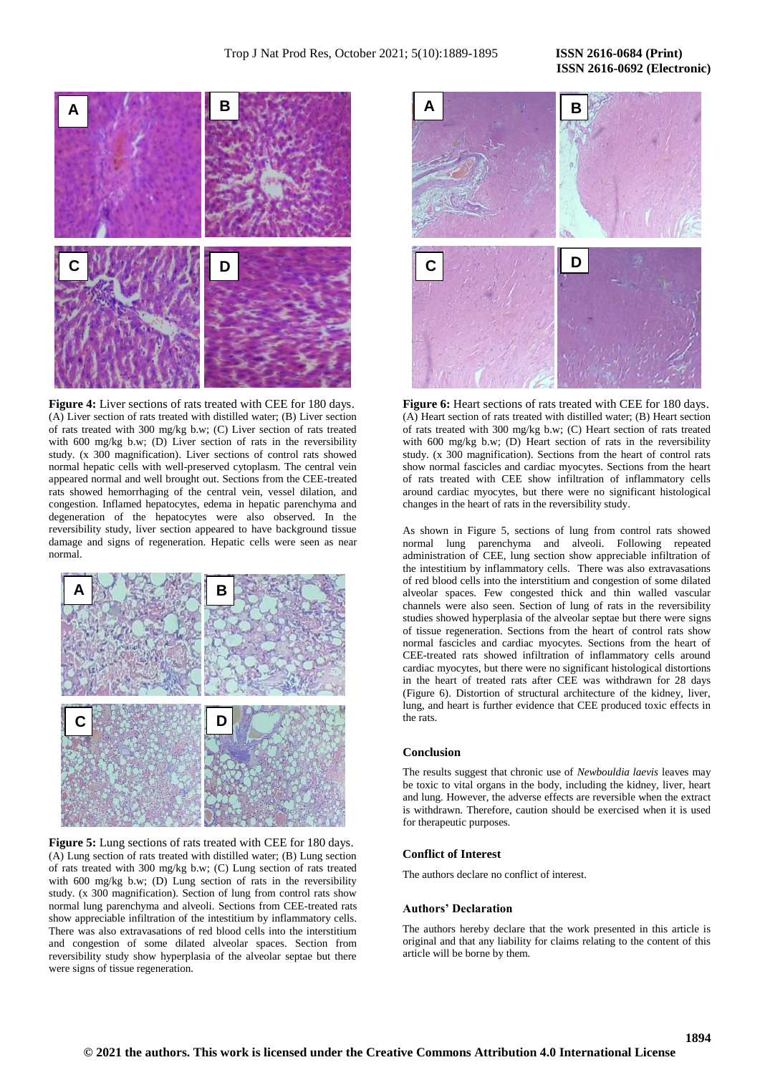# **A B C D**  $\left\{ \left( \frac{1}{2}, \frac{1}{2}, \frac{1}{2}, \frac{1}{2}, \frac{1}{2}, \frac{1}{2}, \frac{1}{2} \right) \right\}$  **D**

**Figure 4:** Liver sections of rats treated with CEE for 180 days. (A) Liver section of rats treated with distilled water; (B) Liver section of rats treated with 300 mg/kg b.w; (C) Liver section of rats treated with 600 mg/kg b.w; (D) Liver section of rats in the reversibility study. (x 300 magnification). Liver sections of control rats showed normal hepatic cells with well-preserved cytoplasm. The central vein appeared normal and well brought out. Sections from the CEE-treated rats showed hemorrhaging of the central vein, vessel dilation, and congestion. Inflamed hepatocytes, edema in hepatic parenchyma and degeneration of the hepatocytes were also observed. In the reversibility study, liver section appeared to have background tissue damage and signs of regeneration. Hepatic cells were seen as near normal.



**Figure 5:** Lung sections of rats treated with CEE for 180 days. (A) Lung section of rats treated with distilled water; (B) Lung section of rats treated with 300 mg/kg b.w; (C) Lung section of rats treated with 600 mg/kg b.w; (D) Lung section of rats in the reversibility study. (x 300 magnification). Section of lung from control rats show normal lung parenchyma and alveoli. Sections from CEE-treated rats show appreciable infiltration of the intestitium by inflammatory cells. There was also extravasations of red blood cells into the interstitium and congestion of some dilated alveolar spaces. Section from reversibility study show hyperplasia of the alveolar septae but there were signs of tissue regeneration.



**Figure 6:** Heart sections of rats treated with CEE for 180 days. (A) Heart section of rats treated with distilled water; (B) Heart section of rats treated with 300 mg/kg b.w; (C) Heart section of rats treated with 600 mg/kg b.w; (D) Heart section of rats in the reversibility study. (x 300 magnification). Sections from the heart of control rats show normal fascicles and cardiac myocytes. Sections from the heart of rats treated with CEE show infiltration of inflammatory cells around cardiac myocytes, but there were no significant histological changes in the heart of rats in the reversibility study.

As shown in Figure 5, sections of lung from control rats showed normal lung parenchyma and alveoli. Following repeated administration of CEE, lung section show appreciable infiltration of the intestitium by inflammatory cells. There was also extravasations of red blood cells into the interstitium and congestion of some dilated alveolar spaces. Few congested thick and thin walled vascular channels were also seen. Section of lung of rats in the reversibility studies showed hyperplasia of the alveolar septae but there were signs of tissue regeneration. Sections from the heart of control rats show normal fascicles and cardiac myocytes. Sections from the heart of CEE-treated rats showed infiltration of inflammatory cells around cardiac myocytes, but there were no significant histological distortions in the heart of treated rats after CEE was withdrawn for 28 days (Figure 6). Distortion of structural architecture of the kidney, liver, lung, and heart is further evidence that CEE produced toxic effects in the rats.

### **Conclusion**

The results suggest that chronic use of *Newbouldia laevis* leaves may be toxic to vital organs in the body, including the kidney, liver, heart and lung. However, the adverse effects are reversible when the extract is withdrawn. Therefore, caution should be exercised when it is used for therapeutic purposes.

### **Conflict of Interest**

The authors declare no conflict of interest.

### **Authors' Declaration**

The authors hereby declare that the work presented in this article is original and that any liability for claims relating to the content of this article will be borne by them.

# **ISSN 2616-0692 (Electronic)**